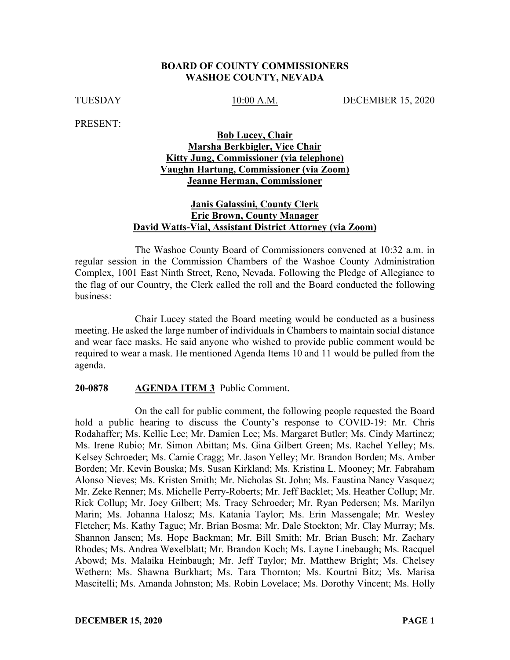#### **BOARD OF COUNTY COMMISSIONERS WASHOE COUNTY, NEVADA**

TUESDAY 10:00 A.M. DECEMBER 15, 2020

PRESENT:

#### **Bob Lucey, Chair Marsha Berkbigler, Vice Chair Kitty Jung, Commissioner (via telephone) Vaughn Hartung, Commissioner (via Zoom) Jeanne Herman, Commissioner**

## **Janis Galassini, County Clerk Eric Brown, County Manager David Watts-Vial, Assistant District Attorney (via Zoom)**

The Washoe County Board of Commissioners convened at 10:32 a.m. in regular session in the Commission Chambers of the Washoe County Administration Complex, 1001 East Ninth Street, Reno, Nevada. Following the Pledge of Allegiance to the flag of our Country, the Clerk called the roll and the Board conducted the following business:

Chair Lucey stated the Board meeting would be conducted as a business meeting. He asked the large number of individuals in Chambers to maintain social distance and wear face masks. He said anyone who wished to provide public comment would be required to wear a mask. He mentioned Agenda Items 10 and 11 would be pulled from the agenda.

#### **20-0878 AGENDA ITEM 3** Public Comment.

On the call for public comment, the following people requested the Board hold a public hearing to discuss the County's response to COVID-19: Mr. Chris Rodahaffer; Ms. Kellie Lee; Mr. Damien Lee; Ms. Margaret Butler; Ms. Cindy Martinez; Ms. Irene Rubio; Mr. Simon Abittan; Ms. Gina Gilbert Green; Ms. Rachel Yelley; Ms. Kelsey Schroeder; Ms. Camie Cragg; Mr. Jason Yelley; Mr. Brandon Borden; Ms. Amber Borden; Mr. Kevin Bouska; Ms. Susan Kirkland; Ms. Kristina L. Mooney; Mr. Fabraham Alonso Nieves; Ms. Kristen Smith; Mr. Nicholas St. John; Ms. Faustina Nancy Vasquez; Mr. Zeke Renner; Ms. Michelle Perry-Roberts; Mr. Jeff Backlet; Ms. Heather Collup; Mr. Rick Collup; Mr. Joey Gilbert; Ms. Tracy Schroeder; Mr. Ryan Pedersen; Ms. Marilyn Marin; Ms. Johanna Halosz; Ms. Katania Taylor; Ms. Erin Massengale; Mr. Wesley Fletcher; Ms. Kathy Tague; Mr. Brian Bosma; Mr. Dale Stockton; Mr. Clay Murray; Ms. Shannon Jansen; Ms. Hope Backman; Mr. Bill Smith; Mr. Brian Busch; Mr. Zachary Rhodes; Ms. Andrea Wexelblatt; Mr. Brandon Koch; Ms. Layne Linebaugh; Ms. Racquel Abowd; Ms. Malaika Heinbaugh; Mr. Jeff Taylor; Mr. Matthew Bright; Ms. Chelsey Wethern; Ms. Shawna Burkhart; Ms. Tara Thornton; Ms. Kourtni Bitz; Ms. Marisa Mascitelli; Ms. Amanda Johnston; Ms. Robin Lovelace; Ms. Dorothy Vincent; Ms. Holly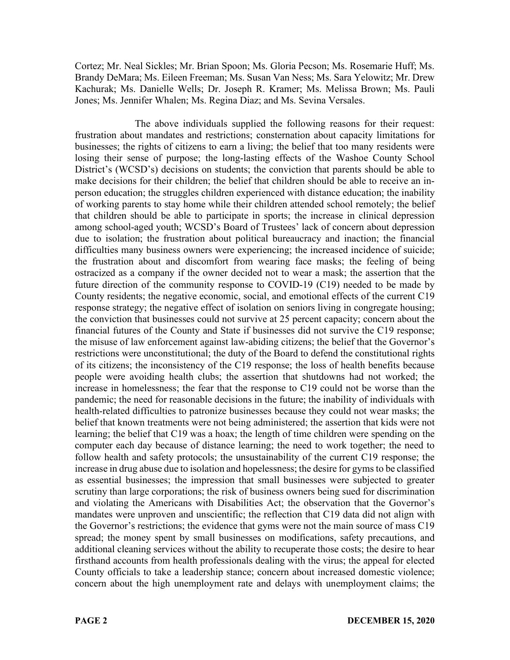Cortez; Mr. Neal Sickles; Mr. Brian Spoon; Ms. Gloria Pecson; Ms. Rosemarie Huff; Ms. Brandy DeMara; Ms. Eileen Freeman; Ms. Susan Van Ness; Ms. Sara Yelowitz; Mr. Drew Kachurak; Ms. Danielle Wells; Dr. Joseph R. Kramer; Ms. Melissa Brown; Ms. Pauli Jones; Ms. Jennifer Whalen; Ms. Regina Diaz; and Ms. Sevina Versales.

The above individuals supplied the following reasons for their request: frustration about mandates and restrictions; consternation about capacity limitations for businesses; the rights of citizens to earn a living; the belief that too many residents were losing their sense of purpose; the long-lasting effects of the Washoe County School District's (WCSD's) decisions on students; the conviction that parents should be able to make decisions for their children; the belief that children should be able to receive an inperson education; the struggles children experienced with distance education; the inability of working parents to stay home while their children attended school remotely; the belief that children should be able to participate in sports; the increase in clinical depression among school-aged youth; WCSD's Board of Trustees' lack of concern about depression due to isolation; the frustration about political bureaucracy and inaction; the financial difficulties many business owners were experiencing; the increased incidence of suicide; the frustration about and discomfort from wearing face masks; the feeling of being ostracized as a company if the owner decided not to wear a mask; the assertion that the future direction of the community response to COVID-19 (C19) needed to be made by County residents; the negative economic, social, and emotional effects of the current C19 response strategy; the negative effect of isolation on seniors living in congregate housing; the conviction that businesses could not survive at 25 percent capacity; concern about the financial futures of the County and State if businesses did not survive the C19 response; the misuse of law enforcement against law-abiding citizens; the belief that the Governor's restrictions were unconstitutional; the duty of the Board to defend the constitutional rights of its citizens; the inconsistency of the C19 response; the loss of health benefits because people were avoiding health clubs; the assertion that shutdowns had not worked; the increase in homelessness; the fear that the response to C19 could not be worse than the pandemic; the need for reasonable decisions in the future; the inability of individuals with health-related difficulties to patronize businesses because they could not wear masks; the belief that known treatments were not being administered; the assertion that kids were not learning; the belief that C19 was a hoax; the length of time children were spending on the computer each day because of distance learning; the need to work together; the need to follow health and safety protocols; the unsustainability of the current C19 response; the increase in drug abuse due to isolation and hopelessness; the desire for gyms to be classified as essential businesses; the impression that small businesses were subjected to greater scrutiny than large corporations; the risk of business owners being sued for discrimination and violating the Americans with Disabilities Act; the observation that the Governor's mandates were unproven and unscientific; the reflection that C19 data did not align with the Governor's restrictions; the evidence that gyms were not the main source of mass C19 spread; the money spent by small businesses on modifications, safety precautions, and additional cleaning services without the ability to recuperate those costs; the desire to hear firsthand accounts from health professionals dealing with the virus; the appeal for elected County officials to take a leadership stance; concern about increased domestic violence; concern about the high unemployment rate and delays with unemployment claims; the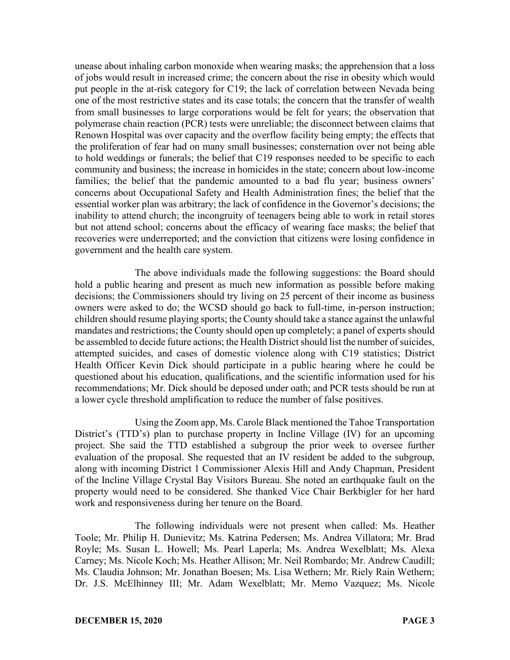unease about inhaling carbon monoxide when wearing masks; the apprehension that a loss of jobs would result in increased crime; the concern about the rise in obesity which would put people in the at-risk category for C19; the lack of correlation between Nevada being one of the most restrictive states and its case totals; the concern that the transfer of wealth from small businesses to large corporations would be felt for years; the observation that polymerase chain reaction (PCR) tests were unreliable; the disconnect between claims that Renown Hospital was over capacity and the overflow facility being empty; the effects that the proliferation of fear had on many small businesses; consternation over not being able to hold weddings or funerals; the belief that C19 responses needed to be specific to each community and business; the increase in homicides in the state; concern about low-income families; the belief that the pandemic amounted to a bad flu year; business owners' concerns about Occupational Safety and Health Administration fines; the belief that the essential worker plan was arbitrary; the lack of confidence in the Governor's decisions; the inability to attend church; the incongruity of teenagers being able to work in retail stores but not attend school; concerns about the efficacy of wearing face masks; the belief that recoveries were underreported; and the conviction that citizens were losing confidence in government and the health care system.

The above individuals made the following suggestions: the Board should hold a public hearing and present as much new information as possible before making decisions; the Commissioners should try living on 25 percent of their income as business owners were asked to do; the WCSD should go back to full-time, in-person instruction; children should resume playing sports; the County should take a stance against the unlawful mandates and restrictions; the County should open up completely; a panel of experts should be assembled to decide future actions; the Health District should list the number of suicides, attempted suicides, and cases of domestic violence along with C19 statistics; District Health Officer Kevin Dick should participate in a public hearing where he could be questioned about his education, qualifications, and the scientific information used for his recommendations; Mr. Dick should be deposed under oath; and PCR tests should be run at a lower cycle threshold amplification to reduce the number of false positives.

Using the Zoom app, Ms. Carole Black mentioned the Tahoe Transportation District's (TTD's) plan to purchase property in Incline Village (IV) for an upcoming project. She said the TTD established a subgroup the prior week to oversee further evaluation of the proposal. She requested that an IV resident be added to the subgroup, along with incoming District 1 Commissioner Alexis Hill and Andy Chapman, President of the Incline Village Crystal Bay Visitors Bureau. She noted an earthquake fault on the property would need to be considered. She thanked Vice Chair Berkbigler for her hard work and responsiveness during her tenure on the Board.

The following individuals were not present when called: Ms. Heather Toole; Mr. Philip H. Dunievitz; Ms. Katrina Pedersen; Ms. Andrea Villatora; Mr. Brad Royle; Ms. Susan L. Howell; Ms. Pearl Laperla; Ms. Andrea Wexelblatt; Ms. Alexa Carney; Ms. Nicole Koch; Ms. Heather Allison; Mr. Neil Rombardo; Mr. Andrew Caudill; Ms. Claudia Johnson; Mr. Jonathan Boesen; Ms. Lisa Wethern; Mr. Riely Rain Wethern; Dr. J.S. McElhinney III; Mr. Adam Wexelblatt; Mr. Memo Vazquez; Ms. Nicole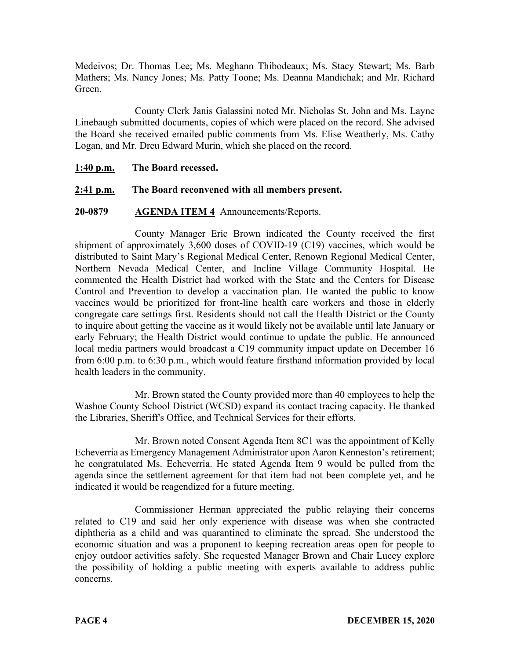Medeivos; Dr. Thomas Lee; Ms. Meghann Thibodeaux; Ms. Stacy Stewart; Ms. Barb Mathers; Ms. Nancy Jones; Ms. Patty Toone; Ms. Deanna Mandichak; and Mr. Richard Green.

County Clerk Janis Galassini noted Mr. Nicholas St. John and Ms. Layne Linebaugh submitted documents, copies of which were placed on the record. She advised the Board she received emailed public comments from Ms. Elise Weatherly, Ms. Cathy Logan, and Mr. Dreu Edward Murin, which she placed on the record.

**1:40 p.m. The Board recessed.**

## **2:41 p.m. The Board reconvened with all members present.**

## **20-0879 AGENDA ITEM 4** Announcements/Reports.

County Manager Eric Brown indicated the County received the first shipment of approximately 3,600 doses of COVID-19 (C19) vaccines, which would be distributed to Saint Mary's Regional Medical Center, Renown Regional Medical Center, Northern Nevada Medical Center, and Incline Village Community Hospital. He commented the Health District had worked with the State and the Centers for Disease Control and Prevention to develop a vaccination plan. He wanted the public to know vaccines would be prioritized for front-line health care workers and those in elderly congregate care settings first. Residents should not call the Health District or the County to inquire about getting the vaccine as it would likely not be available until late January or early February; the Health District would continue to update the public. He announced local media partners would broadcast a C19 community impact update on December 16 from 6:00 p.m. to 6:30 p.m., which would feature firsthand information provided by local health leaders in the community.

Mr. Brown stated the County provided more than 40 employees to help the Washoe County School District (WCSD) expand its contact tracing capacity. He thanked the Libraries, Sheriff's Office, and Technical Services for their efforts.

Mr. Brown noted Consent Agenda Item 8C1 was the appointment of Kelly Echeverria as Emergency Management Administrator upon Aaron Kenneston's retirement; he congratulated Ms. Echeverria. He stated Agenda Item 9 would be pulled from the agenda since the settlement agreement for that item had not been complete yet, and he indicated it would be reagendized for a future meeting.

Commissioner Herman appreciated the public relaying their concerns related to C19 and said her only experience with disease was when she contracted diphtheria as a child and was quarantined to eliminate the spread. She understood the economic situation and was a proponent to keeping recreation areas open for people to enjoy outdoor activities safely. She requested Manager Brown and Chair Lucey explore the possibility of holding a public meeting with experts available to address public concerns.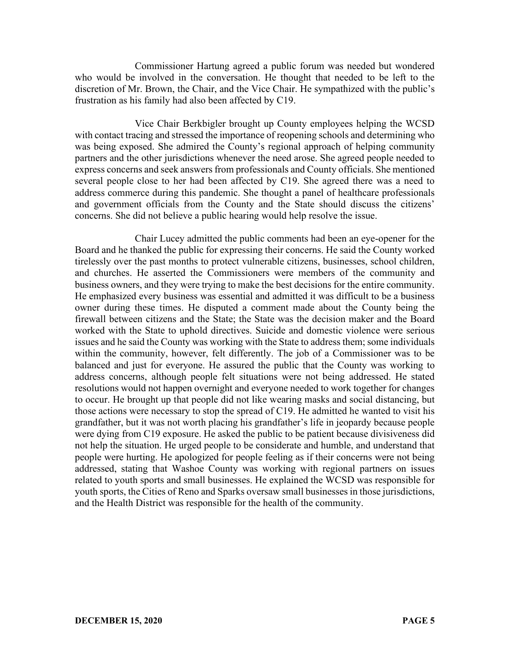Commissioner Hartung agreed a public forum was needed but wondered who would be involved in the conversation. He thought that needed to be left to the discretion of Mr. Brown, the Chair, and the Vice Chair. He sympathized with the public's frustration as his family had also been affected by C19.

Vice Chair Berkbigler brought up County employees helping the WCSD with contact tracing and stressed the importance of reopening schools and determining who was being exposed. She admired the County's regional approach of helping community partners and the other jurisdictions whenever the need arose. She agreed people needed to express concerns and seek answers from professionals and County officials. She mentioned several people close to her had been affected by C19. She agreed there was a need to address commerce during this pandemic. She thought a panel of healthcare professionals and government officials from the County and the State should discuss the citizens' concerns. She did not believe a public hearing would help resolve the issue.

Chair Lucey admitted the public comments had been an eye-opener for the Board and he thanked the public for expressing their concerns. He said the County worked tirelessly over the past months to protect vulnerable citizens, businesses, school children, and churches. He asserted the Commissioners were members of the community and business owners, and they were trying to make the best decisions for the entire community. He emphasized every business was essential and admitted it was difficult to be a business owner during these times. He disputed a comment made about the County being the firewall between citizens and the State; the State was the decision maker and the Board worked with the State to uphold directives. Suicide and domestic violence were serious issues and he said the County was working with the State to address them; some individuals within the community, however, felt differently. The job of a Commissioner was to be balanced and just for everyone. He assured the public that the County was working to address concerns, although people felt situations were not being addressed. He stated resolutions would not happen overnight and everyone needed to work together for changes to occur. He brought up that people did not like wearing masks and social distancing, but those actions were necessary to stop the spread of C19. He admitted he wanted to visit his grandfather, but it was not worth placing his grandfather's life in jeopardy because people were dying from C19 exposure. He asked the public to be patient because divisiveness did not help the situation. He urged people to be considerate and humble, and understand that people were hurting. He apologized for people feeling as if their concerns were not being addressed, stating that Washoe County was working with regional partners on issues related to youth sports and small businesses. He explained the WCSD was responsible for youth sports, the Cities of Reno and Sparks oversaw small businesses in those jurisdictions, and the Health District was responsible for the health of the community.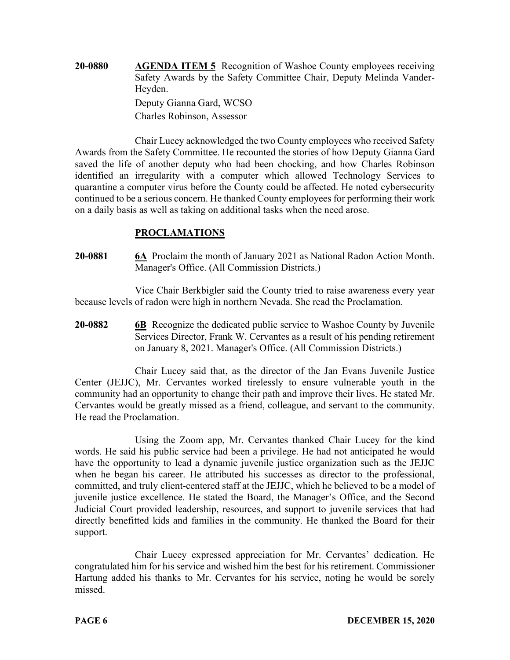**20-0880 AGENDA ITEM 5** Recognition of Washoe County employees receiving Safety Awards by the Safety Committee Chair, Deputy Melinda Vander-Heyden. Deputy Gianna Gard, WCSO Charles Robinson, Assessor

Chair Lucey acknowledged the two County employees who received Safety Awards from the Safety Committee. He recounted the stories of how Deputy Gianna Gard saved the life of another deputy who had been chocking, and how Charles Robinson identified an irregularity with a computer which allowed Technology Services to quarantine a computer virus before the County could be affected. He noted cybersecurity continued to be a serious concern. He thanked County employees for performing their work on a daily basis as well as taking on additional tasks when the need arose.

## **PROCLAMATIONS**

**20-0881 6A** Proclaim the month of January 2021 as National Radon Action Month. Manager's Office. (All Commission Districts.)

Vice Chair Berkbigler said the County tried to raise awareness every year because levels of radon were high in northern Nevada. She read the Proclamation.

**20-0882 6B** Recognize the dedicated public service to Washoe County by Juvenile Services Director, Frank W. Cervantes as a result of his pending retirement on January 8, 2021. Manager's Office. (All Commission Districts.)

Chair Lucey said that, as the director of the Jan Evans Juvenile Justice Center (JEJJC), Mr. Cervantes worked tirelessly to ensure vulnerable youth in the community had an opportunity to change their path and improve their lives. He stated Mr. Cervantes would be greatly missed as a friend, colleague, and servant to the community. He read the Proclamation.

Using the Zoom app, Mr. Cervantes thanked Chair Lucey for the kind words. He said his public service had been a privilege. He had not anticipated he would have the opportunity to lead a dynamic juvenile justice organization such as the JEJJC when he began his career. He attributed his successes as director to the professional, committed, and truly client-centered staff at the JEJJC, which he believed to be a model of juvenile justice excellence. He stated the Board, the Manager's Office, and the Second Judicial Court provided leadership, resources, and support to juvenile services that had directly benefitted kids and families in the community. He thanked the Board for their support.

Chair Lucey expressed appreciation for Mr. Cervantes' dedication. He congratulated him for his service and wished him the best for his retirement. Commissioner Hartung added his thanks to Mr. Cervantes for his service, noting he would be sorely missed.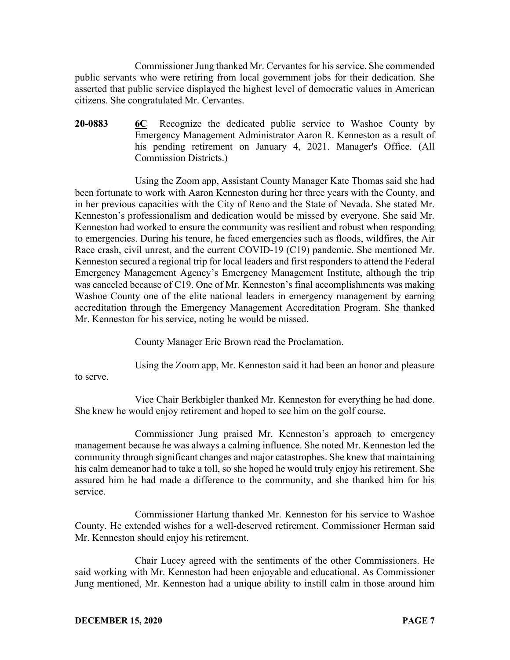Commissioner Jung thanked Mr. Cervantes for his service. She commended public servants who were retiring from local government jobs for their dedication. She asserted that public service displayed the highest level of democratic values in American citizens. She congratulated Mr. Cervantes.

**20-0883 6C** Recognize the dedicated public service to Washoe County by Emergency Management Administrator Aaron R. Kenneston as a result of his pending retirement on January 4, 2021. Manager's Office. (All Commission Districts.)

Using the Zoom app, Assistant County Manager Kate Thomas said she had been fortunate to work with Aaron Kenneston during her three years with the County, and in her previous capacities with the City of Reno and the State of Nevada. She stated Mr. Kenneston's professionalism and dedication would be missed by everyone. She said Mr. Kenneston had worked to ensure the community was resilient and robust when responding to emergencies. During his tenure, he faced emergencies such as floods, wildfires, the Air Race crash, civil unrest, and the current COVID-19 (C19) pandemic. She mentioned Mr. Kenneston secured a regional trip for local leaders and first responders to attend the Federal Emergency Management Agency's Emergency Management Institute, although the trip was canceled because of C19. One of Mr. Kenneston's final accomplishments was making Washoe County one of the elite national leaders in emergency management by earning accreditation through the Emergency Management Accreditation Program. She thanked Mr. Kenneston for his service, noting he would be missed.

County Manager Eric Brown read the Proclamation.

Using the Zoom app, Mr. Kenneston said it had been an honor and pleasure

to serve.

Vice Chair Berkbigler thanked Mr. Kenneston for everything he had done. She knew he would enjoy retirement and hoped to see him on the golf course.

Commissioner Jung praised Mr. Kenneston's approach to emergency management because he was always a calming influence. She noted Mr. Kenneston led the community through significant changes and major catastrophes. She knew that maintaining his calm demeanor had to take a toll, so she hoped he would truly enjoy his retirement. She assured him he had made a difference to the community, and she thanked him for his service.

Commissioner Hartung thanked Mr. Kenneston for his service to Washoe County. He extended wishes for a well-deserved retirement. Commissioner Herman said Mr. Kenneston should enjoy his retirement.

Chair Lucey agreed with the sentiments of the other Commissioners. He said working with Mr. Kenneston had been enjoyable and educational. As Commissioner Jung mentioned, Mr. Kenneston had a unique ability to instill calm in those around him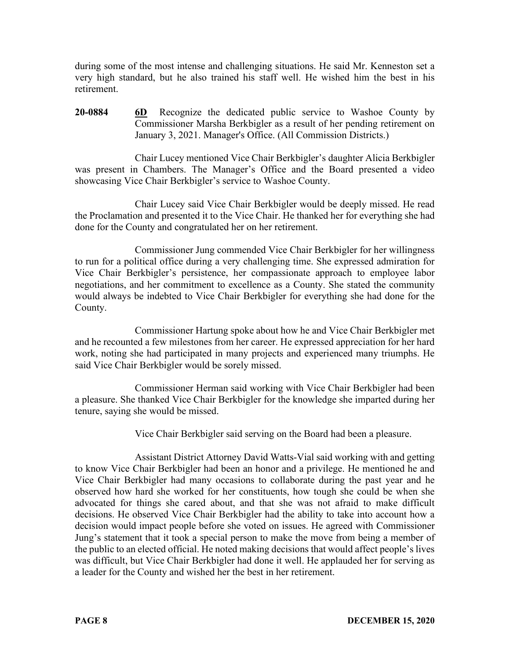during some of the most intense and challenging situations. He said Mr. Kenneston set a very high standard, but he also trained his staff well. He wished him the best in his retirement.

**20-0884 6D** Recognize the dedicated public service to Washoe County by Commissioner Marsha Berkbigler as a result of her pending retirement on January 3, 2021. Manager's Office. (All Commission Districts.)

Chair Lucey mentioned Vice Chair Berkbigler's daughter Alicia Berkbigler was present in Chambers. The Manager's Office and the Board presented a video showcasing Vice Chair Berkbigler's service to Washoe County.

Chair Lucey said Vice Chair Berkbigler would be deeply missed. He read the Proclamation and presented it to the Vice Chair. He thanked her for everything she had done for the County and congratulated her on her retirement.

Commissioner Jung commended Vice Chair Berkbigler for her willingness to run for a political office during a very challenging time. She expressed admiration for Vice Chair Berkbigler's persistence, her compassionate approach to employee labor negotiations, and her commitment to excellence as a County. She stated the community would always be indebted to Vice Chair Berkbigler for everything she had done for the County.

Commissioner Hartung spoke about how he and Vice Chair Berkbigler met and he recounted a few milestones from her career. He expressed appreciation for her hard work, noting she had participated in many projects and experienced many triumphs. He said Vice Chair Berkbigler would be sorely missed.

Commissioner Herman said working with Vice Chair Berkbigler had been a pleasure. She thanked Vice Chair Berkbigler for the knowledge she imparted during her tenure, saying she would be missed.

Vice Chair Berkbigler said serving on the Board had been a pleasure.

Assistant District Attorney David Watts-Vial said working with and getting to know Vice Chair Berkbigler had been an honor and a privilege. He mentioned he and Vice Chair Berkbigler had many occasions to collaborate during the past year and he observed how hard she worked for her constituents, how tough she could be when she advocated for things she cared about, and that she was not afraid to make difficult decisions. He observed Vice Chair Berkbigler had the ability to take into account how a decision would impact people before she voted on issues. He agreed with Commissioner Jung's statement that it took a special person to make the move from being a member of the public to an elected official. He noted making decisions that would affect people's lives was difficult, but Vice Chair Berkbigler had done it well. He applauded her for serving as a leader for the County and wished her the best in her retirement.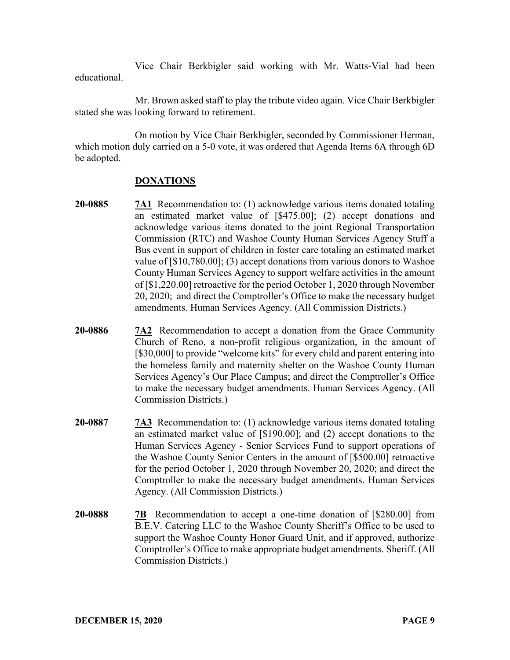Vice Chair Berkbigler said working with Mr. Watts-Vial had been educational.

Mr. Brown asked staff to play the tribute video again. Vice Chair Berkbigler stated she was looking forward to retirement.

On motion by Vice Chair Berkbigler, seconded by Commissioner Herman, which motion duly carried on a 5-0 vote, it was ordered that Agenda Items 6A through 6D be adopted.

## **DONATIONS**

- **20-0885 7A1** Recommendation to: (1) acknowledge various items donated totaling an estimated market value of [\$475.00]; (2) accept donations and acknowledge various items donated to the joint Regional Transportation Commission (RTC) and Washoe County Human Services Agency Stuff a Bus event in support of children in foster care totaling an estimated market value of [\$10,780.00]; (3) accept donations from various donors to Washoe County Human Services Agency to support welfare activities in the amount of [\$1,220.00] retroactive for the period October 1, 2020 through November 20, 2020; and direct the Comptroller's Office to make the necessary budget amendments. Human Services Agency. (All Commission Districts.)
- **20-0886 7A2** Recommendation to accept a donation from the Grace Community Church of Reno, a non-profit religious organization, in the amount of [\$30,000] to provide "welcome kits" for every child and parent entering into the homeless family and maternity shelter on the Washoe County Human Services Agency's Our Place Campus; and direct the Comptroller's Office to make the necessary budget amendments. Human Services Agency. (All Commission Districts.)
- **20-0887 7A3** Recommendation to: (1) acknowledge various items donated totaling an estimated market value of [\$190.00]; and (2) accept donations to the Human Services Agency - Senior Services Fund to support operations of the Washoe County Senior Centers in the amount of [\$500.00] retroactive for the period October 1, 2020 through November 20, 2020; and direct the Comptroller to make the necessary budget amendments. Human Services Agency. (All Commission Districts.)
- **20-0888 7B** Recommendation to accept a one-time donation of [\$280.00] from B.E.V. Catering LLC to the Washoe County Sheriff's Office to be used to support the Washoe County Honor Guard Unit, and if approved, authorize Comptroller's Office to make appropriate budget amendments. Sheriff. (All Commission Districts.)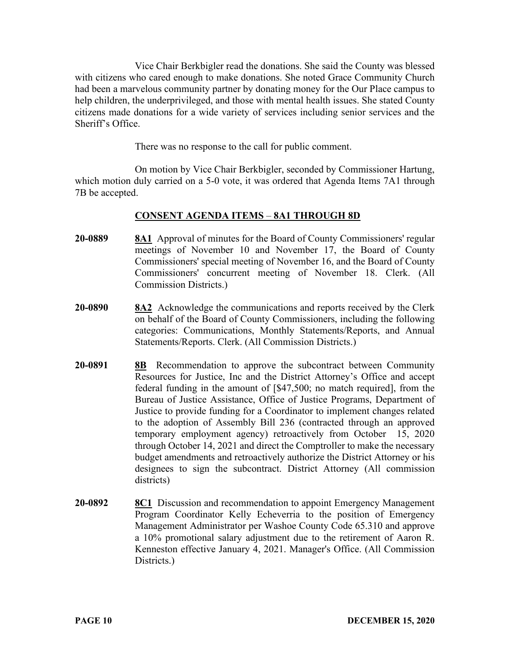Vice Chair Berkbigler read the donations. She said the County was blessed with citizens who cared enough to make donations. She noted Grace Community Church had been a marvelous community partner by donating money for the Our Place campus to help children, the underprivileged, and those with mental health issues. She stated County citizens made donations for a wide variety of services including senior services and the Sheriff's Office.

There was no response to the call for public comment.

On motion by Vice Chair Berkbigler, seconded by Commissioner Hartung, which motion duly carried on a 5-0 vote, it was ordered that Agenda Items 7A1 through 7B be accepted.

# **CONSENT AGENDA ITEMS** – **8A1 THROUGH 8D**

- **20-0889 8A1** Approval of minutes for the Board of County Commissioners' regular meetings of November 10 and November 17, the Board of County Commissioners' special meeting of November 16, and the Board of County Commissioners' concurrent meeting of November 18. Clerk. (All Commission Districts.)
- **20-0890 8A2** Acknowledge the communications and reports received by the Clerk on behalf of the Board of County Commissioners, including the following categories: Communications, Monthly Statements/Reports, and Annual Statements/Reports. Clerk. (All Commission Districts.)
- **20-0891 8B** Recommendation to approve the subcontract between Community Resources for Justice, Inc and the District Attorney's Office and accept federal funding in the amount of [\$47,500; no match required], from the Bureau of Justice Assistance, Office of Justice Programs, Department of Justice to provide funding for a Coordinator to implement changes related to the adoption of Assembly Bill 236 (contracted through an approved temporary employment agency) retroactively from October 15, 2020 through October 14, 2021 and direct the Comptroller to make the necessary budget amendments and retroactively authorize the District Attorney or his designees to sign the subcontract. District Attorney (All commission districts)
- **20-0892 8C1** Discussion and recommendation to appoint Emergency Management Program Coordinator Kelly Echeverria to the position of Emergency Management Administrator per Washoe County Code 65.310 and approve a 10% promotional salary adjustment due to the retirement of Aaron R. Kenneston effective January 4, 2021. Manager's Office. (All Commission Districts.)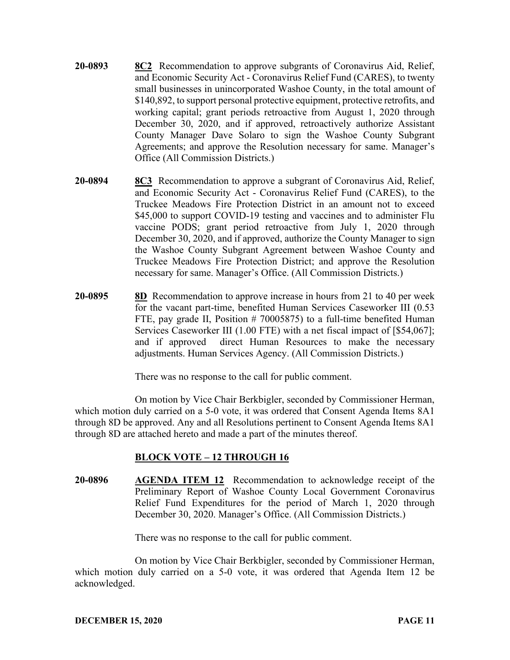- **20-0893 8C2** Recommendation to approve subgrants of Coronavirus Aid, Relief, and Economic Security Act - Coronavirus Relief Fund (CARES), to twenty small businesses in unincorporated Washoe County, in the total amount of \$140,892, to support personal protective equipment, protective retrofits, and working capital; grant periods retroactive from August 1, 2020 through December 30, 2020, and if approved, retroactively authorize Assistant County Manager Dave Solaro to sign the Washoe County Subgrant Agreements; and approve the Resolution necessary for same. Manager's Office (All Commission Districts.)
- **20-0894 8C3** Recommendation to approve a subgrant of Coronavirus Aid, Relief, and Economic Security Act - Coronavirus Relief Fund (CARES), to the Truckee Meadows Fire Protection District in an amount not to exceed \$45,000 to support COVID-19 testing and vaccines and to administer Flu vaccine PODS; grant period retroactive from July 1, 2020 through December 30, 2020, and if approved, authorize the County Manager to sign the Washoe County Subgrant Agreement between Washoe County and Truckee Meadows Fire Protection District; and approve the Resolution necessary for same. Manager's Office. (All Commission Districts.)
- **20-0895 8D** Recommendation to approve increase in hours from 21 to 40 per week for the vacant part-time, benefited Human Services Caseworker III (0.53 FTE, pay grade II, Position # 70005875) to a full-time benefited Human Services Caseworker III (1.00 FTE) with a net fiscal impact of [\$54,067]; and if approved direct Human Resources to make the necessary adjustments. Human Services Agency. (All Commission Districts.)

There was no response to the call for public comment.

On motion by Vice Chair Berkbigler, seconded by Commissioner Herman, which motion duly carried on a 5-0 vote, it was ordered that Consent Agenda Items 8A1 through 8D be approved. Any and all Resolutions pertinent to Consent Agenda Items 8A1 through 8D are attached hereto and made a part of the minutes thereof.

# **BLOCK VOTE – 12 THROUGH 16**

**20-0896 AGENDA ITEM 12** Recommendation to acknowledge receipt of the Preliminary Report of Washoe County Local Government Coronavirus Relief Fund Expenditures for the period of March 1, 2020 through December 30, 2020. Manager's Office. (All Commission Districts.)

There was no response to the call for public comment.

On motion by Vice Chair Berkbigler, seconded by Commissioner Herman, which motion duly carried on a 5-0 vote, it was ordered that Agenda Item 12 be acknowledged.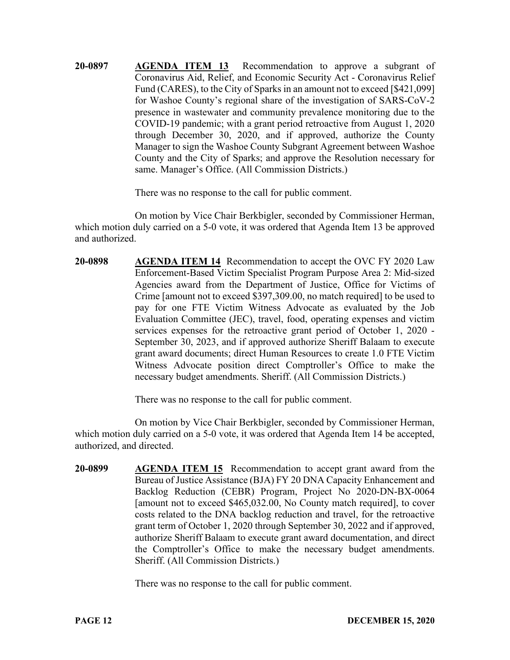**20-0897 AGENDA ITEM 13** Recommendation to approve a subgrant of Coronavirus Aid, Relief, and Economic Security Act - Coronavirus Relief Fund (CARES), to the City of Sparks in an amount not to exceed [\$421,099] for Washoe County's regional share of the investigation of SARS-CoV-2 presence in wastewater and community prevalence monitoring due to the COVID-19 pandemic; with a grant period retroactive from August 1, 2020 through December 30, 2020, and if approved, authorize the County Manager to sign the Washoe County Subgrant Agreement between Washoe County and the City of Sparks; and approve the Resolution necessary for same. Manager's Office. (All Commission Districts.)

There was no response to the call for public comment.

On motion by Vice Chair Berkbigler, seconded by Commissioner Herman, which motion duly carried on a 5-0 vote, it was ordered that Agenda Item 13 be approved and authorized.

**20-0898 AGENDA ITEM 14** Recommendation to accept the OVC FY 2020 Law Enforcement-Based Victim Specialist Program Purpose Area 2: Mid-sized Agencies award from the Department of Justice, Office for Victims of Crime [amount not to exceed \$397,309.00, no match required] to be used to pay for one FTE Victim Witness Advocate as evaluated by the Job Evaluation Committee (JEC), travel, food, operating expenses and victim services expenses for the retroactive grant period of October 1, 2020 - September 30, 2023, and if approved authorize Sheriff Balaam to execute grant award documents; direct Human Resources to create 1.0 FTE Victim Witness Advocate position direct Comptroller's Office to make the necessary budget amendments. Sheriff. (All Commission Districts.)

There was no response to the call for public comment.

On motion by Vice Chair Berkbigler, seconded by Commissioner Herman, which motion duly carried on a 5-0 vote, it was ordered that Agenda Item 14 be accepted, authorized, and directed.

**20-0899 AGENDA ITEM 15** Recommendation to accept grant award from the Bureau of Justice Assistance (BJA) FY 20 DNA Capacity Enhancement and Backlog Reduction (CEBR) Program, Project No 2020-DN-BX-0064 [amount not to exceed \$465,032.00, No County match required], to cover costs related to the DNA backlog reduction and travel, for the retroactive grant term of October 1, 2020 through September 30, 2022 and if approved, authorize Sheriff Balaam to execute grant award documentation, and direct the Comptroller's Office to make the necessary budget amendments. Sheriff. (All Commission Districts.)

There was no response to the call for public comment.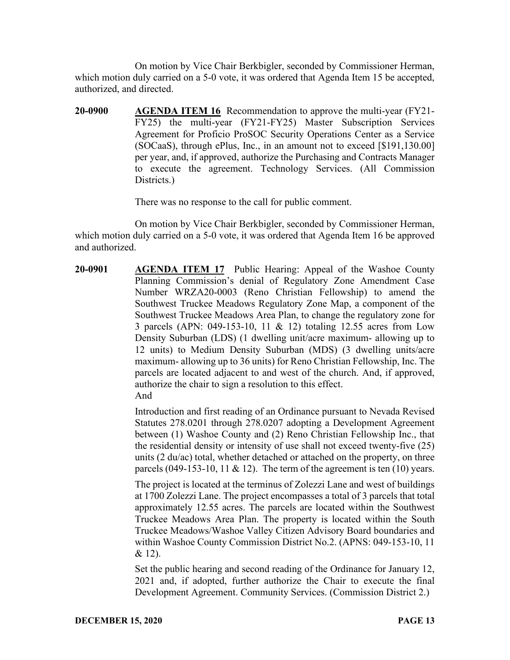On motion by Vice Chair Berkbigler, seconded by Commissioner Herman, which motion duly carried on a 5-0 vote, it was ordered that Agenda Item 15 be accepted, authorized, and directed.

**20-0900 AGENDA ITEM 16** Recommendation to approve the multi-year (FY21- FY25) the multi-year (FY21-FY25) Master Subscription Services Agreement for Proficio ProSOC Security Operations Center as a Service (SOCaaS), through ePlus, Inc., in an amount not to exceed [\$191,130.00] per year, and, if approved, authorize the Purchasing and Contracts Manager to execute the agreement. Technology Services. (All Commission Districts.)

There was no response to the call for public comment.

On motion by Vice Chair Berkbigler, seconded by Commissioner Herman, which motion duly carried on a 5-0 vote, it was ordered that Agenda Item 16 be approved and authorized.

**20-0901 AGENDA ITEM 17** Public Hearing: Appeal of the Washoe County Planning Commission's denial of Regulatory Zone Amendment Case Number WRZA20-0003 (Reno Christian Fellowship) to amend the Southwest Truckee Meadows Regulatory Zone Map, a component of the Southwest Truckee Meadows Area Plan, to change the regulatory zone for 3 parcels (APN: 049-153-10, 11 & 12) totaling 12.55 acres from Low Density Suburban (LDS) (1 dwelling unit/acre maximum- allowing up to 12 units) to Medium Density Suburban (MDS) (3 dwelling units/acre maximum- allowing up to 36 units) for Reno Christian Fellowship, Inc. The parcels are located adjacent to and west of the church. And, if approved, authorize the chair to sign a resolution to this effect. And

> Introduction and first reading of an Ordinance pursuant to Nevada Revised Statutes 278.0201 through 278.0207 adopting a Development Agreement between (1) Washoe County and (2) Reno Christian Fellowship Inc., that the residential density or intensity of use shall not exceed twenty-five (25) units (2 du/ac) total, whether detached or attached on the property, on three parcels (049-153-10, 11  $\&$  12). The term of the agreement is ten (10) years.

> The project is located at the terminus of Zolezzi Lane and west of buildings at 1700 Zolezzi Lane. The project encompasses a total of 3 parcels that total approximately 12.55 acres. The parcels are located within the Southwest Truckee Meadows Area Plan. The property is located within the South Truckee Meadows/Washoe Valley Citizen Advisory Board boundaries and within Washoe County Commission District No.2. (APNS: 049-153-10, 11 & 12).

> Set the public hearing and second reading of the Ordinance for January 12, 2021 and, if adopted, further authorize the Chair to execute the final Development Agreement. Community Services. (Commission District 2.)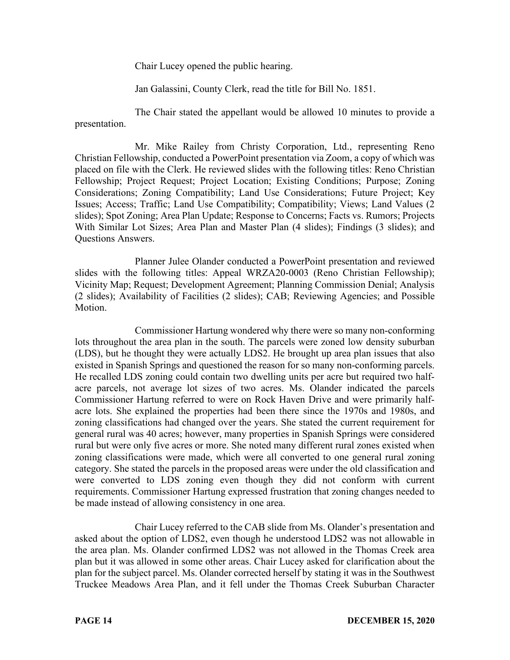Chair Lucey opened the public hearing.

Jan Galassini, County Clerk, read the title for Bill No. 1851.

The Chair stated the appellant would be allowed 10 minutes to provide a presentation.

Mr. Mike Railey from Christy Corporation, Ltd., representing Reno Christian Fellowship, conducted a PowerPoint presentation via Zoom, a copy of which was placed on file with the Clerk. He reviewed slides with the following titles: Reno Christian Fellowship; Project Request; Project Location; Existing Conditions; Purpose; Zoning Considerations; Zoning Compatibility; Land Use Considerations; Future Project; Key Issues; Access; Traffic; Land Use Compatibility; Compatibility; Views; Land Values (2 slides); Spot Zoning; Area Plan Update; Response to Concerns; Facts vs. Rumors; Projects With Similar Lot Sizes; Area Plan and Master Plan (4 slides); Findings (3 slides); and Questions Answers.

Planner Julee Olander conducted a PowerPoint presentation and reviewed slides with the following titles: Appeal WRZA20-0003 (Reno Christian Fellowship); Vicinity Map; Request; Development Agreement; Planning Commission Denial; Analysis (2 slides); Availability of Facilities (2 slides); CAB; Reviewing Agencies; and Possible Motion.

Commissioner Hartung wondered why there were so many non-conforming lots throughout the area plan in the south. The parcels were zoned low density suburban (LDS), but he thought they were actually LDS2. He brought up area plan issues that also existed in Spanish Springs and questioned the reason for so many non-conforming parcels. He recalled LDS zoning could contain two dwelling units per acre but required two halfacre parcels, not average lot sizes of two acres. Ms. Olander indicated the parcels Commissioner Hartung referred to were on Rock Haven Drive and were primarily halfacre lots. She explained the properties had been there since the 1970s and 1980s, and zoning classifications had changed over the years. She stated the current requirement for general rural was 40 acres; however, many properties in Spanish Springs were considered rural but were only five acres or more. She noted many different rural zones existed when zoning classifications were made, which were all converted to one general rural zoning category. She stated the parcels in the proposed areas were under the old classification and were converted to LDS zoning even though they did not conform with current requirements. Commissioner Hartung expressed frustration that zoning changes needed to be made instead of allowing consistency in one area.

Chair Lucey referred to the CAB slide from Ms. Olander's presentation and asked about the option of LDS2, even though he understood LDS2 was not allowable in the area plan. Ms. Olander confirmed LDS2 was not allowed in the Thomas Creek area plan but it was allowed in some other areas. Chair Lucey asked for clarification about the plan for the subject parcel. Ms. Olander corrected herself by stating it was in the Southwest Truckee Meadows Area Plan, and it fell under the Thomas Creek Suburban Character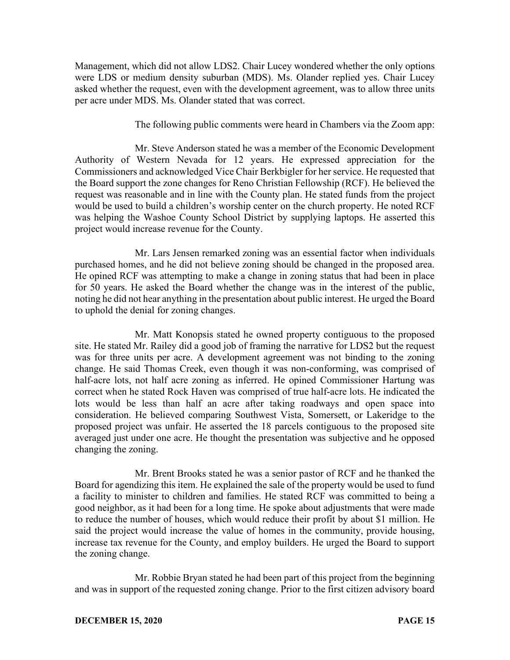Management, which did not allow LDS2. Chair Lucey wondered whether the only options were LDS or medium density suburban (MDS). Ms. Olander replied yes. Chair Lucey asked whether the request, even with the development agreement, was to allow three units per acre under MDS. Ms. Olander stated that was correct.

The following public comments were heard in Chambers via the Zoom app:

Mr. Steve Anderson stated he was a member of the Economic Development Authority of Western Nevada for 12 years. He expressed appreciation for the Commissioners and acknowledged Vice Chair Berkbigler for her service. He requested that the Board support the zone changes for Reno Christian Fellowship (RCF). He believed the request was reasonable and in line with the County plan. He stated funds from the project would be used to build a children's worship center on the church property. He noted RCF was helping the Washoe County School District by supplying laptops. He asserted this project would increase revenue for the County.

Mr. Lars Jensen remarked zoning was an essential factor when individuals purchased homes, and he did not believe zoning should be changed in the proposed area. He opined RCF was attempting to make a change in zoning status that had been in place for 50 years. He asked the Board whether the change was in the interest of the public, noting he did not hear anything in the presentation about public interest. He urged the Board to uphold the denial for zoning changes.

Mr. Matt Konopsis stated he owned property contiguous to the proposed site. He stated Mr. Railey did a good job of framing the narrative for LDS2 but the request was for three units per acre. A development agreement was not binding to the zoning change. He said Thomas Creek, even though it was non-conforming, was comprised of half-acre lots, not half acre zoning as inferred. He opined Commissioner Hartung was correct when he stated Rock Haven was comprised of true half-acre lots. He indicated the lots would be less than half an acre after taking roadways and open space into consideration. He believed comparing Southwest Vista, Somersett, or Lakeridge to the proposed project was unfair. He asserted the 18 parcels contiguous to the proposed site averaged just under one acre. He thought the presentation was subjective and he opposed changing the zoning.

Mr. Brent Brooks stated he was a senior pastor of RCF and he thanked the Board for agendizing this item. He explained the sale of the property would be used to fund a facility to minister to children and families. He stated RCF was committed to being a good neighbor, as it had been for a long time. He spoke about adjustments that were made to reduce the number of houses, which would reduce their profit by about \$1 million. He said the project would increase the value of homes in the community, provide housing, increase tax revenue for the County, and employ builders. He urged the Board to support the zoning change.

Mr. Robbie Bryan stated he had been part of this project from the beginning and was in support of the requested zoning change. Prior to the first citizen advisory board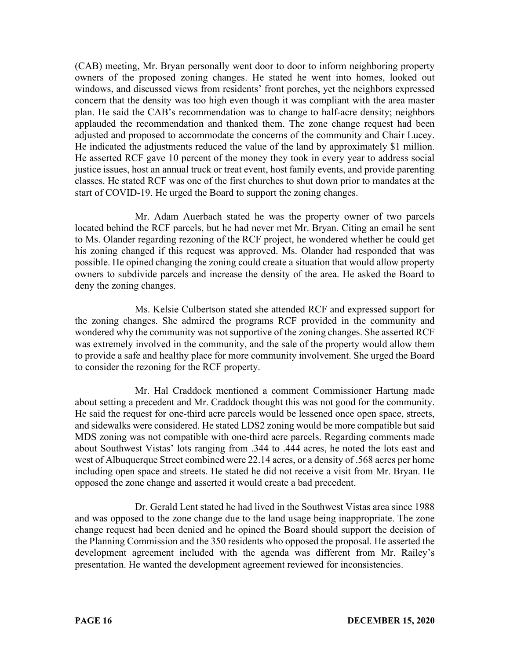(CAB) meeting, Mr. Bryan personally went door to door to inform neighboring property owners of the proposed zoning changes. He stated he went into homes, looked out windows, and discussed views from residents' front porches, yet the neighbors expressed concern that the density was too high even though it was compliant with the area master plan. He said the CAB's recommendation was to change to half-acre density; neighbors applauded the recommendation and thanked them. The zone change request had been adjusted and proposed to accommodate the concerns of the community and Chair Lucey. He indicated the adjustments reduced the value of the land by approximately \$1 million. He asserted RCF gave 10 percent of the money they took in every year to address social justice issues, host an annual truck or treat event, host family events, and provide parenting classes. He stated RCF was one of the first churches to shut down prior to mandates at the start of COVID-19. He urged the Board to support the zoning changes.

Mr. Adam Auerbach stated he was the property owner of two parcels located behind the RCF parcels, but he had never met Mr. Bryan. Citing an email he sent to Ms. Olander regarding rezoning of the RCF project, he wondered whether he could get his zoning changed if this request was approved. Ms. Olander had responded that was possible. He opined changing the zoning could create a situation that would allow property owners to subdivide parcels and increase the density of the area. He asked the Board to deny the zoning changes.

Ms. Kelsie Culbertson stated she attended RCF and expressed support for the zoning changes. She admired the programs RCF provided in the community and wondered why the community was not supportive of the zoning changes. She asserted RCF was extremely involved in the community, and the sale of the property would allow them to provide a safe and healthy place for more community involvement. She urged the Board to consider the rezoning for the RCF property.

Mr. Hal Craddock mentioned a comment Commissioner Hartung made about setting a precedent and Mr. Craddock thought this was not good for the community. He said the request for one-third acre parcels would be lessened once open space, streets, and sidewalks were considered. He stated LDS2 zoning would be more compatible but said MDS zoning was not compatible with one-third acre parcels. Regarding comments made about Southwest Vistas' lots ranging from .344 to .444 acres, he noted the lots east and west of Albuquerque Street combined were 22.14 acres, or a density of .568 acres per home including open space and streets. He stated he did not receive a visit from Mr. Bryan. He opposed the zone change and asserted it would create a bad precedent.

Dr. Gerald Lent stated he had lived in the Southwest Vistas area since 1988 and was opposed to the zone change due to the land usage being inappropriate. The zone change request had been denied and he opined the Board should support the decision of the Planning Commission and the 350 residents who opposed the proposal. He asserted the development agreement included with the agenda was different from Mr. Railey's presentation. He wanted the development agreement reviewed for inconsistencies.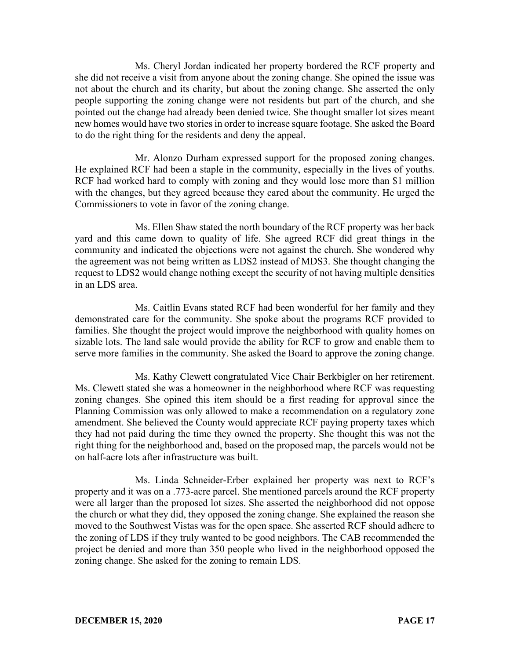Ms. Cheryl Jordan indicated her property bordered the RCF property and she did not receive a visit from anyone about the zoning change. She opined the issue was not about the church and its charity, but about the zoning change. She asserted the only people supporting the zoning change were not residents but part of the church, and she pointed out the change had already been denied twice. She thought smaller lot sizes meant new homes would have two stories in order to increase square footage. She asked the Board to do the right thing for the residents and deny the appeal.

Mr. Alonzo Durham expressed support for the proposed zoning changes. He explained RCF had been a staple in the community, especially in the lives of youths. RCF had worked hard to comply with zoning and they would lose more than \$1 million with the changes, but they agreed because they cared about the community. He urged the Commissioners to vote in favor of the zoning change.

Ms. Ellen Shaw stated the north boundary of the RCF property was her back yard and this came down to quality of life. She agreed RCF did great things in the community and indicated the objections were not against the church. She wondered why the agreement was not being written as LDS2 instead of MDS3. She thought changing the request to LDS2 would change nothing except the security of not having multiple densities in an LDS area.

Ms. Caitlin Evans stated RCF had been wonderful for her family and they demonstrated care for the community. She spoke about the programs RCF provided to families. She thought the project would improve the neighborhood with quality homes on sizable lots. The land sale would provide the ability for RCF to grow and enable them to serve more families in the community. She asked the Board to approve the zoning change.

Ms. Kathy Clewett congratulated Vice Chair Berkbigler on her retirement. Ms. Clewett stated she was a homeowner in the neighborhood where RCF was requesting zoning changes. She opined this item should be a first reading for approval since the Planning Commission was only allowed to make a recommendation on a regulatory zone amendment. She believed the County would appreciate RCF paying property taxes which they had not paid during the time they owned the property. She thought this was not the right thing for the neighborhood and, based on the proposed map, the parcels would not be on half-acre lots after infrastructure was built.

Ms. Linda Schneider-Erber explained her property was next to RCF's property and it was on a .773-acre parcel. She mentioned parcels around the RCF property were all larger than the proposed lot sizes. She asserted the neighborhood did not oppose the church or what they did, they opposed the zoning change. She explained the reason she moved to the Southwest Vistas was for the open space. She asserted RCF should adhere to the zoning of LDS if they truly wanted to be good neighbors. The CAB recommended the project be denied and more than 350 people who lived in the neighborhood opposed the zoning change. She asked for the zoning to remain LDS.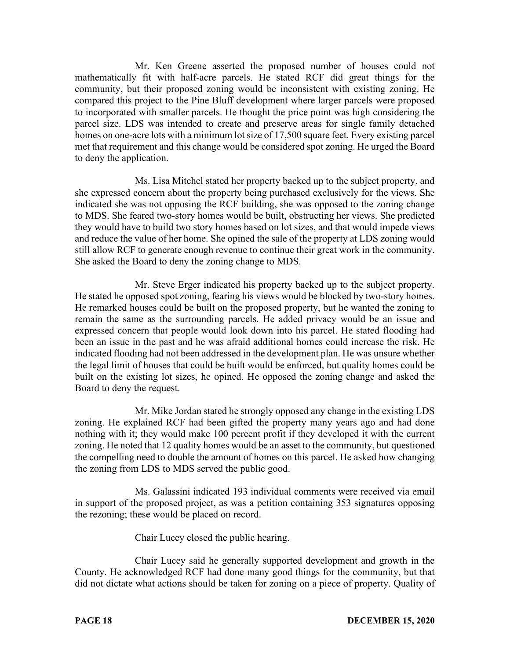Mr. Ken Greene asserted the proposed number of houses could not mathematically fit with half-acre parcels. He stated RCF did great things for the community, but their proposed zoning would be inconsistent with existing zoning. He compared this project to the Pine Bluff development where larger parcels were proposed to incorporated with smaller parcels. He thought the price point was high considering the parcel size. LDS was intended to create and preserve areas for single family detached homes on one-acre lots with a minimum lot size of 17,500 square feet. Every existing parcel met that requirement and this change would be considered spot zoning. He urged the Board to deny the application.

Ms. Lisa Mitchel stated her property backed up to the subject property, and she expressed concern about the property being purchased exclusively for the views. She indicated she was not opposing the RCF building, she was opposed to the zoning change to MDS. She feared two-story homes would be built, obstructing her views. She predicted they would have to build two story homes based on lot sizes, and that would impede views and reduce the value of her home. She opined the sale of the property at LDS zoning would still allow RCF to generate enough revenue to continue their great work in the community. She asked the Board to deny the zoning change to MDS.

Mr. Steve Erger indicated his property backed up to the subject property. He stated he opposed spot zoning, fearing his views would be blocked by two-story homes. He remarked houses could be built on the proposed property, but he wanted the zoning to remain the same as the surrounding parcels. He added privacy would be an issue and expressed concern that people would look down into his parcel. He stated flooding had been an issue in the past and he was afraid additional homes could increase the risk. He indicated flooding had not been addressed in the development plan. He was unsure whether the legal limit of houses that could be built would be enforced, but quality homes could be built on the existing lot sizes, he opined. He opposed the zoning change and asked the Board to deny the request.

Mr. Mike Jordan stated he strongly opposed any change in the existing LDS zoning. He explained RCF had been gifted the property many years ago and had done nothing with it; they would make 100 percent profit if they developed it with the current zoning. He noted that 12 quality homes would be an asset to the community, but questioned the compelling need to double the amount of homes on this parcel. He asked how changing the zoning from LDS to MDS served the public good.

Ms. Galassini indicated 193 individual comments were received via email in support of the proposed project, as was a petition containing 353 signatures opposing the rezoning; these would be placed on record.

Chair Lucey closed the public hearing.

Chair Lucey said he generally supported development and growth in the County. He acknowledged RCF had done many good things for the community, but that did not dictate what actions should be taken for zoning on a piece of property. Quality of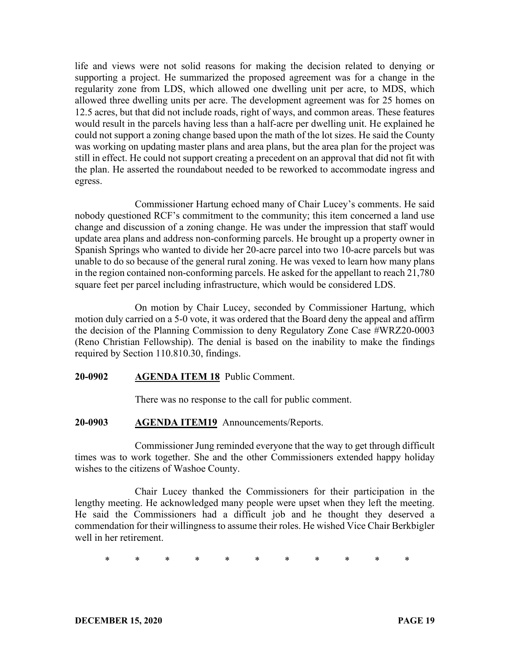life and views were not solid reasons for making the decision related to denying or supporting a project. He summarized the proposed agreement was for a change in the regularity zone from LDS, which allowed one dwelling unit per acre, to MDS, which allowed three dwelling units per acre. The development agreement was for 25 homes on 12.5 acres, but that did not include roads, right of ways, and common areas. These features would result in the parcels having less than a half-acre per dwelling unit. He explained he could not support a zoning change based upon the math of the lot sizes. He said the County was working on updating master plans and area plans, but the area plan for the project was still in effect. He could not support creating a precedent on an approval that did not fit with the plan. He asserted the roundabout needed to be reworked to accommodate ingress and egress.

Commissioner Hartung echoed many of Chair Lucey's comments. He said nobody questioned RCF's commitment to the community; this item concerned a land use change and discussion of a zoning change. He was under the impression that staff would update area plans and address non-conforming parcels. He brought up a property owner in Spanish Springs who wanted to divide her 20-acre parcel into two 10-acre parcels but was unable to do so because of the general rural zoning. He was vexed to learn how many plans in the region contained non-conforming parcels. He asked for the appellant to reach 21,780 square feet per parcel including infrastructure, which would be considered LDS.

On motion by Chair Lucey, seconded by Commissioner Hartung, which motion duly carried on a 5-0 vote, it was ordered that the Board deny the appeal and affirm the decision of the Planning Commission to deny Regulatory Zone Case #WRZ20-0003 (Reno Christian Fellowship). The denial is based on the inability to make the findings required by Section 110.810.30, findings.

#### **20-0902 AGENDA ITEM 18** Public Comment.

There was no response to the call for public comment.

#### **20-0903 AGENDA ITEM19** Announcements/Reports.

Commissioner Jung reminded everyone that the way to get through difficult times was to work together. She and the other Commissioners extended happy holiday wishes to the citizens of Washoe County.

Chair Lucey thanked the Commissioners for their participation in the lengthy meeting. He acknowledged many people were upset when they left the meeting. He said the Commissioners had a difficult job and he thought they deserved a commendation for their willingness to assume their roles. He wished Vice Chair Berkbigler well in her retirement.

\* \* \* \* \* \* \* \* \* \* \*